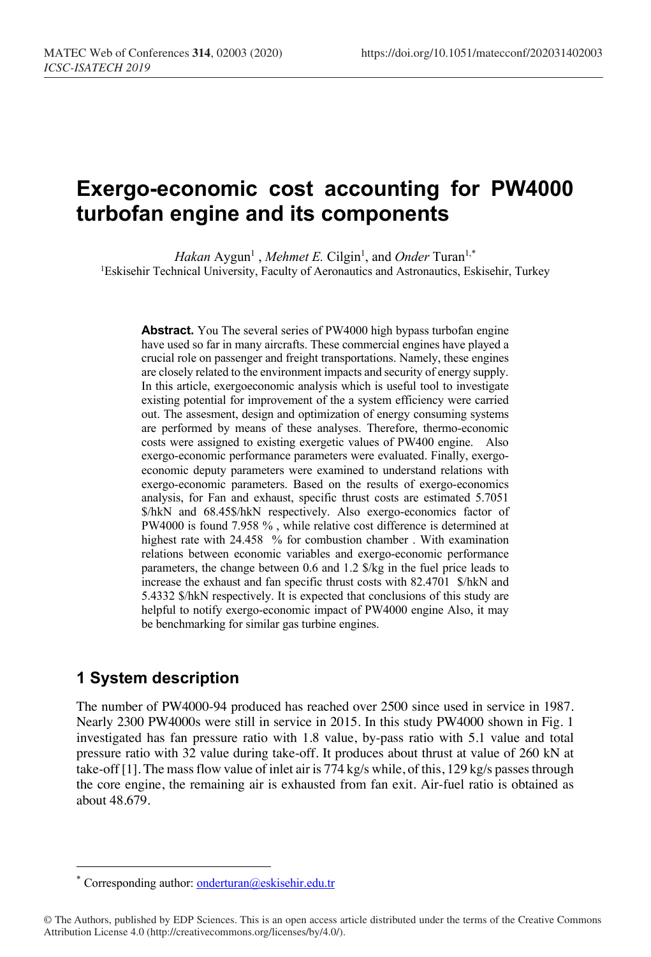# **Exergo-economic cost accounting for PW4000 turbofan engine and its components**

*Hakan* Aygun<sup>1</sup>, *Mehmet E*. Cilgin<sup>1</sup>, and *Onder* Turan<sup>1,\*</sup> <sup>1</sup>Eskisehir Technical University, Faculty of Aeronautics and Astronautics, Eskisehir, Turkey

**Abstract.** You The several series of PW4000 high bypass turbofan engine have used so far in many aircrafts. These commercial engines have played a crucial role on passenger and freight transportations. Namely, these engines are closely related to the environment impacts and security of energy supply. In this article, exergoeconomic analysis which is useful tool to investigate existing potential for improvement of the a system efficiency were carried out. The assesment, design and optimization of energy consuming systems are performed by means of these analyses. Therefore, thermo-economic costs were assigned to existing exergetic values of PW400 engine. Also exergo-economic performance parameters were evaluated. Finally, exergoeconomic deputy parameters were examined to understand relations with exergo-economic parameters. Based on the results of exergo-economics analysis, for Fan and exhaust, specific thrust costs are estimated 5.7051 \$/hkN and 68.45\$/hkN respectively. Also exergo-economics factor of PW4000 is found 7.958 % , while relative cost difference is determined at highest rate with 24.458 % for combustion chamber . With examination relations between economic variables and exergo-economic performance parameters, the change between 0.6 and 1.2 \$/kg in the fuel price leads to increase the exhaust and fan specific thrust costs with 82.4701 \$/hkN and 5.4332 \$/hkN respectively. It is expected that conclusions of this study are helpful to notify exergo-economic impact of PW4000 engine Also, it may be benchmarking for similar gas turbine engines.

# **1 System description**

The number of PW4000-94 produced has reached over 2500 since used in service in 1987. Nearly 2300 PW4000s were still in service in 2015. In this study PW4000 shown in Fig. 1 investigated has fan pressure ratio with 1.8 value, by-pass ratio with 5.1 value and total pressure ratio with 32 value during take-off. It produces about thrust at value of 260 kN at take-off [1]. The mass flow value of inlet air is 774 kg/s while, of this, 129 kg/s passes through the core engine, the remaining air is exhausted from fan exit. Air-fuel ratio is obtained as about 48.679.

Corresponding author: onderturan@eskisehir.edu.tr

<sup>©</sup> The Authors, published by EDP Sciences. This is an open access article distributed under the terms of the Creative Commons Attribution License 4.0 (http://creativecommons.org/licenses/by/4.0/).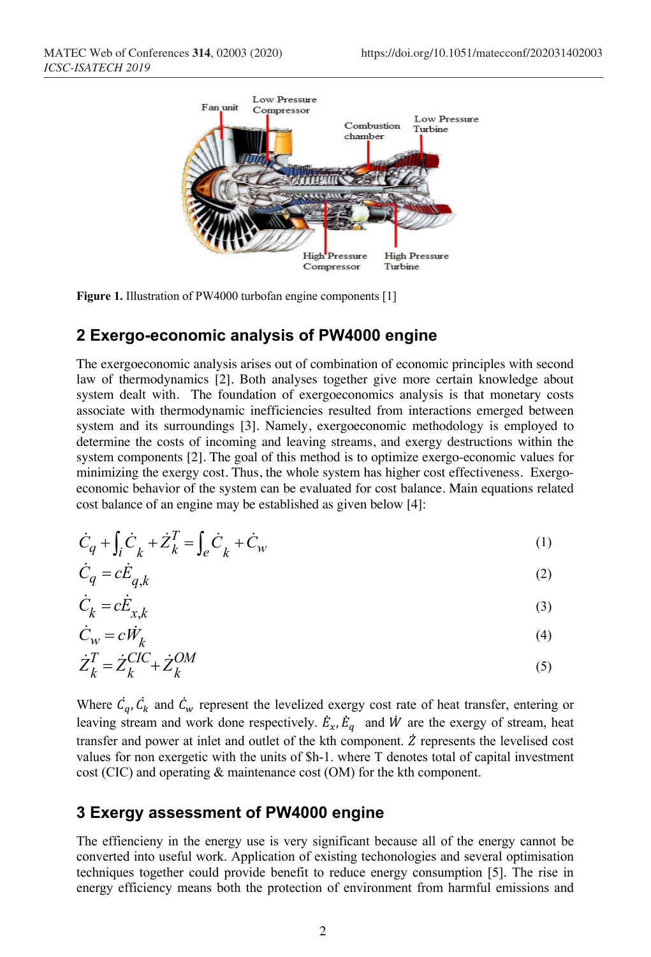

**Figure 1.** Illustration of PW4000 turbofan engine components [1]

#### **2 Exergo-economic analysis of PW4000 engine**

The exergoeconomic analysis arises out of combination of economic principles with second law of thermodynamics [2]. Both analyses together give more certain knowledge about system dealt with. The foundation of exergoeconomics analysis is that monetary costs associate with thermodynamic inefficiencies resulted from interactions emerged between system and its surroundings [3]. Namely, exergoeconomic methodology is employed to determine the costs of incoming and leaving streams, and exergy destructions within the system components [2]. The goal of this method is to optimize exergo-economic values for minimizing the exergy cost. Thus, the whole system has higher cost effectiveness. Exergoeconomic behavior of the system can be evaluated for cost balance. Main equations related cost balance of an engine may be established as given below [4]:

$$
\dot{C}_q + \int_i \dot{C}_k + \dot{Z}_k^T = \int_e \dot{C}_k + \dot{C}_w \tag{1}
$$

$$
\dot{C}_q = c \dot{E}_{q,k} \tag{2}
$$

$$
\dot{C}_k = c \dot{E}_{x,k} \tag{3}
$$

$$
\dot{C}_W = c\dot{W}_k \tag{4}
$$

$$
\dot{Z}_k^T = \dot{Z}_k^{CIC} + \dot{Z}_k^{OM}
$$
\n<sup>(5)</sup>

Where  $\dot{C}_q$ ,  $\dot{C}_k$  and  $\dot{C}_w$  represent the levelized exergy cost rate of heat transfer, entering or leaving stream and work done respectively.  $\dot{E}_x$ ,  $\dot{E}_q$  and  $\dot{W}$  are the exergy of stream, heat transfer and power at inlet and outlet of the kth component.  $\ddot{z}$  represents the levelised cost values for non exergetic with the units of \$h-1. where T denotes total of capital investment cost (CIC) and operating & maintenance cost (OM) for the kth component.

#### **3 Exergy assessment of PW4000 engine**

The effiencieny in the energy use is very significant because all of the energy cannot be converted into useful work. Application of existing techonologies and several optimisation techniques together could provide benefit to reduce energy consumption [5]. The rise in energy efficiency means both the protection of environment from harmful emissions and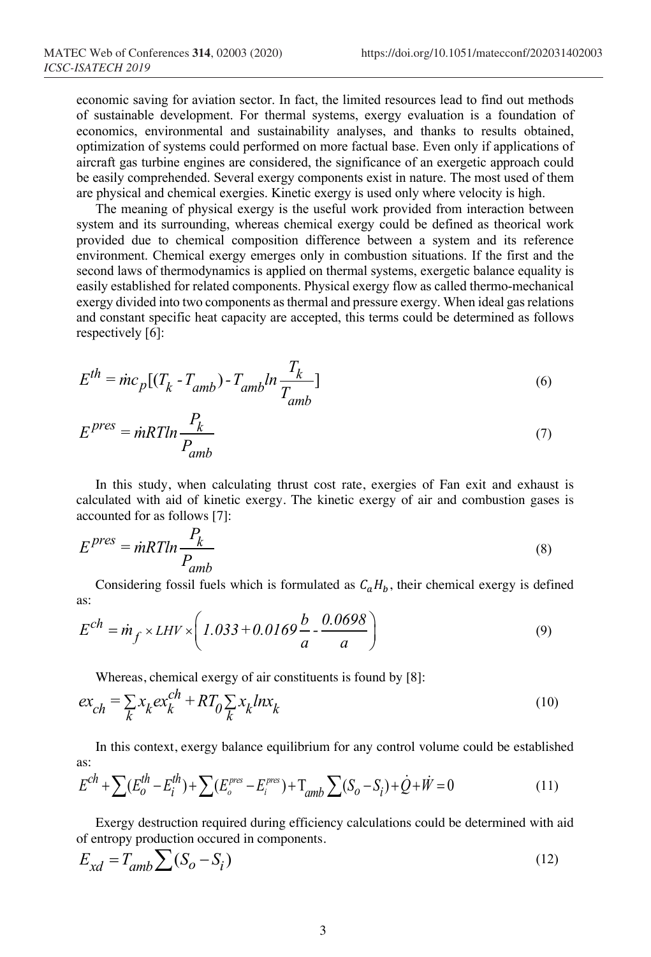economic saving for aviation sector. In fact, the limited resources lead to find out methods of sustainable development. For thermal systems, exergy evaluation is a foundation of economics, environmental and sustainability analyses, and thanks to results obtained, optimization of systems could performed on more factual base. Even only if applications of aircraft gas turbine engines are considered, the significance of an exergetic approach could be easily comprehended. Several exergy components exist in nature. The most used of them are physical and chemical exergies. Kinetic exergy is used only where velocity is high.

The meaning of physical exergy is the useful work provided from interaction between system and its surrounding, whereas chemical exergy could be defined as theorical work provided due to chemical composition difference between a system and its reference environment. Chemical exergy emerges only in combustion situations. If the first and the second laws of thermodynamics is applied on thermal systems, exergetic balance equality is easily established for related components. Physical exergy flow as called thermo-mechanical exergy divided into two components as thermal and pressure exergy. When ideal gas relations and constant specific heat capacity are accepted, this terms could be determined as follows respectively [6]:

$$
E^{th} = \dot{m}c_p[(T_k - T_{amb}) - T_{amb}ln\frac{T_k}{T_{amb}}]
$$
\n(6)

$$
E^{pres} = \dot{m}RTln \frac{P_k}{P_{amb}}
$$
 (7)

In this study, when calculating thrust cost rate, exergies of Fan exit and exhaust is calculated with aid of kinetic exergy. The kinetic exergy of air and combustion gases is accounted for as follows [7]:

$$
E^{pres} = \dot{m}RTln \frac{P_k}{P_{amb}}
$$
\n(8)

Considering fossil fuels which is formulated as  $C_aH_b$ , their chemical exergy is defined as:

$$
E^{ch} = \dot{m}_f \times LHV \times \left(1.033 + 0.0169 \frac{b}{a} - \frac{0.0698}{a}\right) \tag{9}
$$

Whereas, chemical exergy of air constituents is found by [8]:

$$
ex_{ch} = \sum_{k} x_k ex_k^{ch} + RT_0 \sum_{k} x_k ln x_k
$$
\n(10)

In this context, exergy balance equilibrium for any control volume could be established as:

$$
E^{ch} + \sum (E_o^{th} - E_i^{th}) + \sum (E_o^{pres} - E_i^{pres}) + T_{amb} \sum (S_o - S_i) + \dot{Q} + \dot{W} = 0
$$
 (11)

Exergy destruction required during efficiency calculations could be determined with aid of entropy production occured in components.

$$
E_{xd} = T_{amb} \sum (S_o - S_i)
$$
\n(12)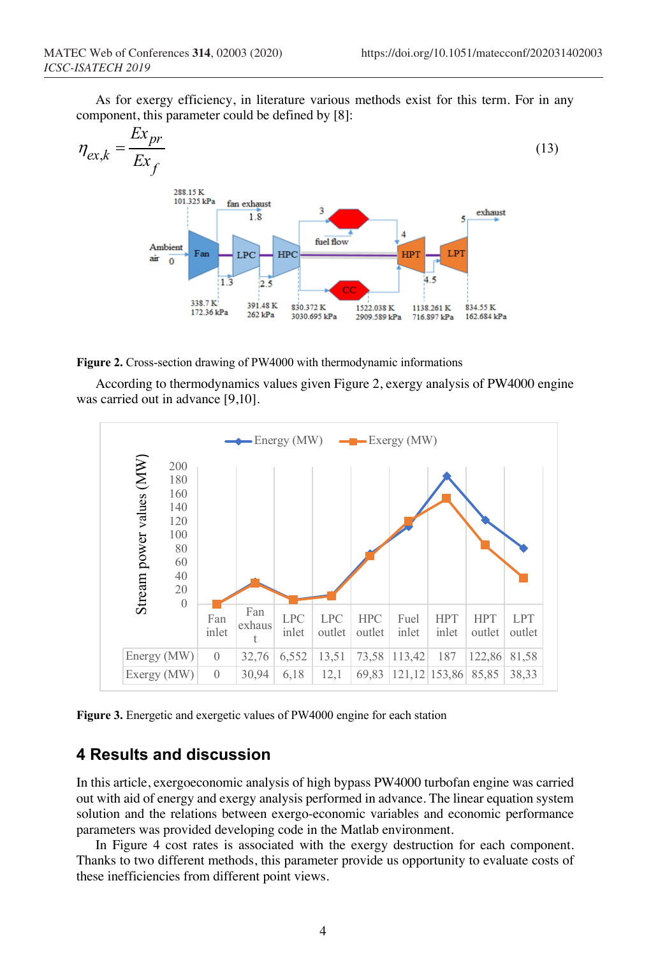As for exergy efficiency, in literature various methods exist for this term. For in any component, this parameter could be defined by [8]:



**Figure 2.** Cross-section drawing of PW4000 with thermodynamic informations

According to thermodynamics values given Figure 2, exergy analysis of PW4000 engine was carried out in advance [9,10].



**Figure 3.** Energetic and exergetic values of PW4000 engine for each station

# **4 Results and discussion**

In this article, exergoeconomic analysis of high bypass PW4000 turbofan engine was carried out with aid of energy and exergy analysis performed in advance. The linear equation system solution and the relations between exergo-economic variables and economic performance parameters was provided developing code in the Matlab environment.

In Figure 4 cost rates is associated with the exergy destruction for each component. Thanks to two different methods, this parameter provide us opportunity to evaluate costs of these inefficiencies from different point views.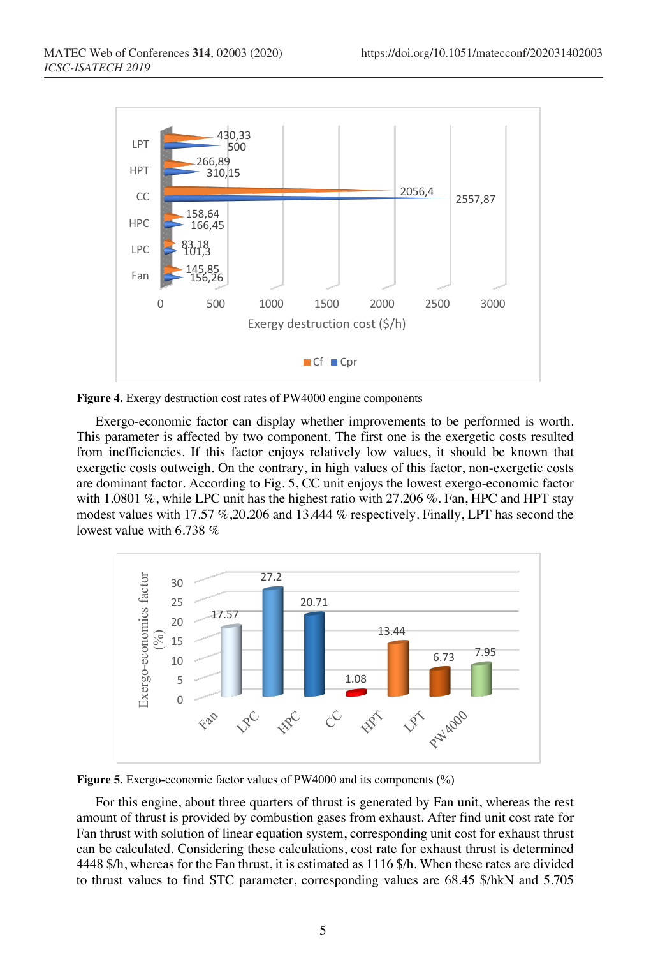

**Figure 4.** Exergy destruction cost rates of PW4000 engine components

Exergo-economic factor can display whether improvements to be performed is worth. This parameter is affected by two component. The first one is the exergetic costs resulted from inefficiencies. If this factor enjoys relatively low values, it should be known that exergetic costs outweigh. On the contrary, in high values of this factor, non-exergetic costs are dominant factor. According to Fig. 5, CC unit enjoys the lowest exergo-economic factor with 1.0801 %, while LPC unit has the highest ratio with 27.206 %. Fan, HPC and HPT stay modest values with 17.57 %,20.206 and 13.444 % respectively. Finally, LPT has second the lowest value with 6.738 %



**Figure 5.** Exergo-economic factor values of PW4000 and its components (%)

For this engine, about three quarters of thrust is generated by Fan unit, whereas the rest amount of thrust is provided by combustion gases from exhaust. After find unit cost rate for Fan thrust with solution of linear equation system, corresponding unit cost for exhaust thrust can be calculated. Considering these calculations, cost rate for exhaust thrust is determined 4448 \$/h, whereas for the Fan thrust, it is estimated as 1116 \$/h. When these rates are divided to thrust values to find STC parameter, corresponding values are 68.45 \$/hkN and 5.705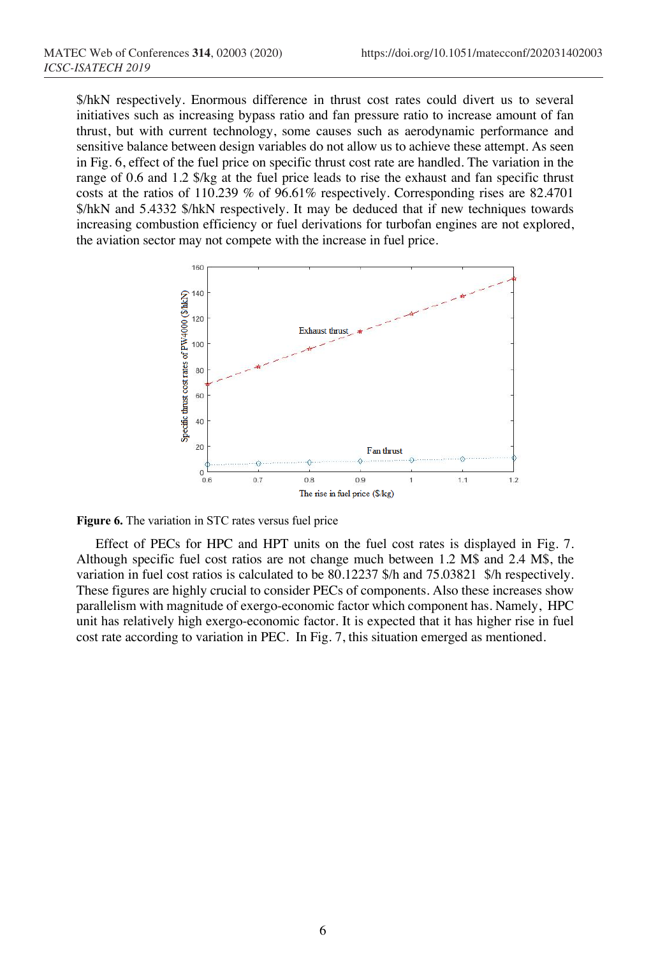\$/hkN respectively. Enormous difference in thrust cost rates could divert us to several initiatives such as increasing bypass ratio and fan pressure ratio to increase amount of fan thrust, but with current technology, some causes such as aerodynamic performance and sensitive balance between design variables do not allow us to achieve these attempt. As seen in Fig. 6, effect of the fuel price on specific thrust cost rate are handled. The variation in the range of 0.6 and 1.2 \$/kg at the fuel price leads to rise the exhaust and fan specific thrust costs at the ratios of 110.239 % of 96.61% respectively. Corresponding rises are 82.4701 \$/hkN and 5.4332 \$/hkN respectively. It may be deduced that if new techniques towards increasing combustion efficiency or fuel derivations for turbofan engines are not explored, the aviation sector may not compete with the increase in fuel price.



**Figure 6.** The variation in STC rates versus fuel price

Effect of PECs for HPC and HPT units on the fuel cost rates is displayed in Fig. 7. Although specific fuel cost ratios are not change much between 1.2 M\$ and 2.4 M\$, the variation in fuel cost ratios is calculated to be 80.12237 \$/h and 75.03821 \$/h respectively. These figures are highly crucial to consider PECs of components. Also these increases show parallelism with magnitude of exergo-economic factor which component has. Namely, HPC unit has relatively high exergo-economic factor. It is expected that it has higher rise in fuel cost rate according to variation in PEC. In Fig. 7, this situation emerged as mentioned.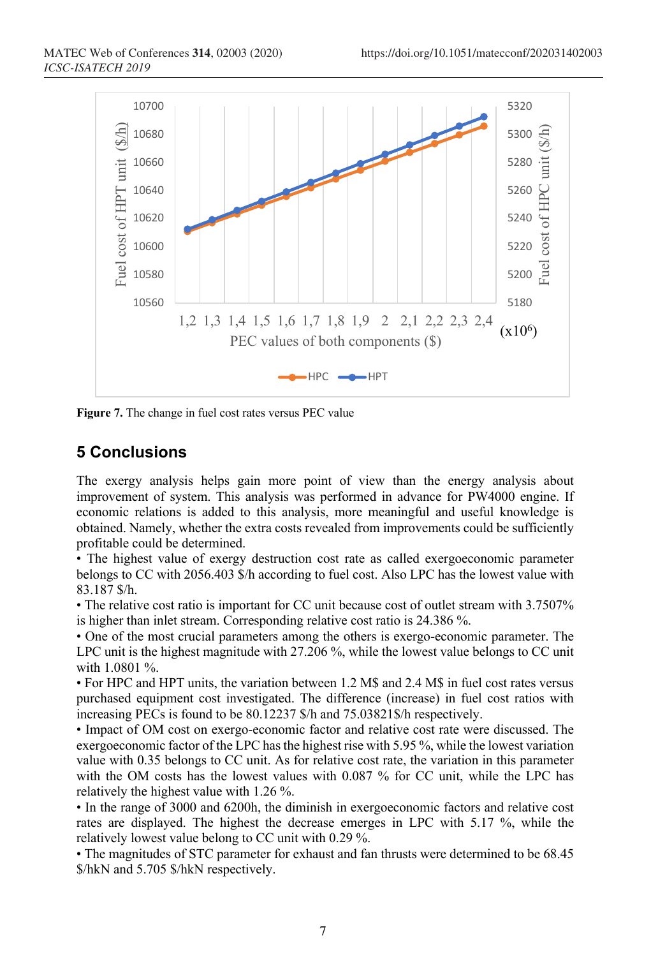

**Figure 7.** The change in fuel cost rates versus PEC value

# **5 Conclusions**

The exergy analysis helps gain more point of view than the energy analysis about improvement of system. This analysis was performed in advance for PW4000 engine. If economic relations is added to this analysis, more meaningful and useful knowledge is obtained. Namely, whether the extra costs revealed from improvements could be sufficiently profitable could be determined.

• The highest value of exergy destruction cost rate as called exergoeconomic parameter belongs to CC with 2056.403 \$/h according to fuel cost. Also LPC has the lowest value with 83.187 \$/h.

• The relative cost ratio is important for CC unit because cost of outlet stream with 3.7507% is higher than inlet stream. Corresponding relative cost ratio is 24.386 %.

• One of the most crucial parameters among the others is exergo-economic parameter. The LPC unit is the highest magnitude with 27.206 %, while the lowest value belongs to CC unit with 1.0801 %.

• For HPC and HPT units, the variation between 1.2 M\$ and 2.4 M\$ in fuel cost rates versus purchased equipment cost investigated. The difference (increase) in fuel cost ratios with increasing PECs is found to be 80.12237 \$/h and 75.03821\$/h respectively.

• Impact of OM cost on exergo-economic factor and relative cost rate were discussed. The exergoeconomic factor of the LPC has the highest rise with 5.95 %, while the lowest variation value with 0.35 belongs to CC unit. As for relative cost rate, the variation in this parameter with the OM costs has the lowest values with 0.087 % for CC unit, while the LPC has relatively the highest value with 1.26 %.

• In the range of 3000 and 6200h, the diminish in exergoeconomic factors and relative cost rates are displayed. The highest the decrease emerges in LPC with 5.17 %, while the relatively lowest value belong to CC unit with 0.29 %.

• The magnitudes of STC parameter for exhaust and fan thrusts were determined to be 68.45 \$/hkN and 5.705 \$/hkN respectively.